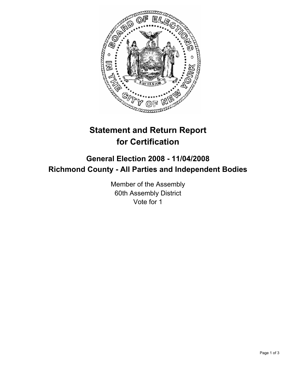

# **Statement and Return Report for Certification**

## **General Election 2008 - 11/04/2008 Richmond County - All Parties and Independent Bodies**

Member of the Assembly 60th Assembly District Vote for 1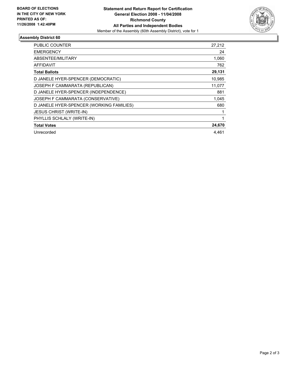

### **Assembly District 60**

| <b>PUBLIC COUNTER</b>                    | 27,212 |
|------------------------------------------|--------|
| <b>EMERGENCY</b>                         | 24     |
| ABSENTEE/MILITARY                        | 1,060  |
| AFFIDAVIT                                | 762    |
| <b>Total Ballots</b>                     | 29,131 |
| D JANELE HYER-SPENCER (DEMOCRATIC)       | 10,985 |
| JOSEPH F CAMMARATA (REPUBLICAN)          | 11,077 |
| D JANELE HYER-SPENCER (INDEPENDENCE)     | 881    |
| JOSEPH F CAMMARATA (CONSERVATIVE)        | 1.045  |
| D JANELE HYER-SPENCER (WORKING FAMILIES) | 680    |
| <b>JESUS CHRIST (WRITE-IN)</b>           |        |
| PHYLLIS SCHLALY (WRITE-IN)               |        |
| <b>Total Votes</b>                       | 24,670 |
| Unrecorded                               | 4.461  |